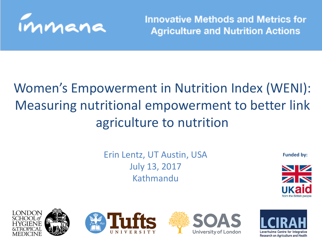

**Innovative Methods and Metrics for Agriculture and Nutrition Actions** 

#### Women's Empowerment in Nutrition Index (WENI): Measuring nutritional empowerment to better link agriculture to nutrition

Erin Lentz, UT Austin, USA July 13, 2017 **Kathmandu** 

**Funded by:** 









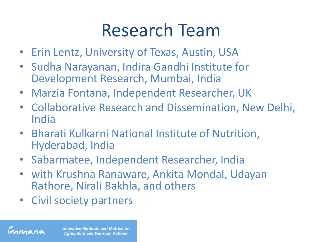## Research Team

- Erin Lentz, University of Texas, Austin, USA
- Sudha Narayanan, Indira Gandhi Institute for Development Research, Mumbai, India
- Marzia Fontana, Independent Researcher, UK
- Collaborative Research and Dissemination, New Delhi, India
- Bharati Kulkarni National Institute of Nutrition, Hyderabad, India
- Sabarmatee, Independent Researcher, India
- with Krushna Ranaware, Ankita Mondal, Udayan Rathore, Nirali Bakhla, and others
- Civil society partners

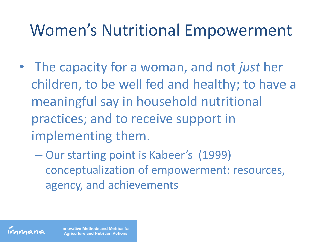### Women's Nutritional Empowerment

- The capacity for a woman, and not *just* her children, to be well fed and healthy; to have a meaningful say in household nutritional practices; and to receive support in implementing them.
	- Our starting point is Kabeer's (1999) conceptualization of empowerment: resources, agency, and achievements

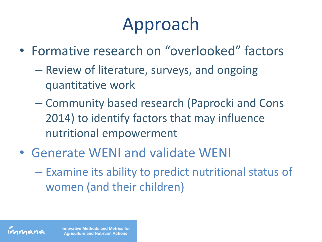## Approach

- Formative research on "overlooked" factors
	- Review of literature, surveys, and ongoing quantitative work
	- Community based research (Paprocki and Cons 2014) to identify factors that may influence nutritional empowerment
- Generate WENI and validate WENI
	- Examine its ability to predict nutritional status of women (and their children)

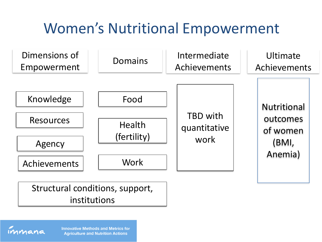### Women's Nutritional Empowerment



#### Structural conditions, support, institutions

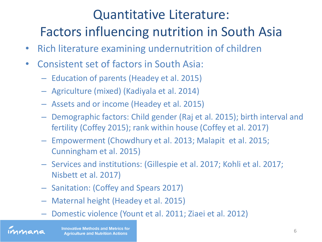#### Quantitative Literature: Factors influencing nutrition in South Asia

- Rich literature examining undernutrition of children
- Consistent set of factors in South Asia:
	- Education of parents (Headey et al. 2015)
	- Agriculture (mixed) (Kadiyala et al. 2014)
	- Assets and or income (Headey et al. 2015)
	- Demographic factors: Child gender (Raj et al. 2015); birth interval and fertility (Coffey 2015); rank within house (Coffey et al. 2017)
	- Empowerment (Chowdhury et al. 2013; Malapit et al. 2015; Cunningham et al. 2015)
	- Services and institutions: (Gillespie et al. 2017; Kohli et al. 2017; Nisbett et al. 2017)
	- Sanitation: (Coffey and Spears 2017)
	- Maternal height (Headey et al. 2015)
	- Domestic violence (Yount et al. 2011; Ziaei et al. 2012)

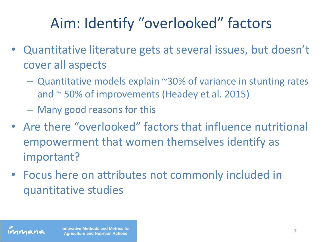### Aim: Identify "overlooked" factors

- Quantitative literature gets at several issues, but doesn't cover all aspects
	- $-$  Quantitative models explain  $\sim$ 30% of variance in stunting rates and ~ 50% of improvements (Headey et al. 2015)
	- Many good reasons for this
- Are there "overlooked" factors that influence nutritional empowerment that women themselves identify as important?
- Focus here on attributes not commonly included in quantitative studies

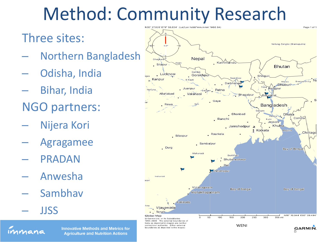## Method: Community Research

#### Three sites:

- Northern Bangladesh
- Odisha, India
- Bihar, India
- NGO partners:
- Nijera Kori
- Agragamee
- PRADAN
- Anwesha
- Sambhav
- JJSS



**Innovative Methods and Metrics for Agriculture and Nutrition Actions**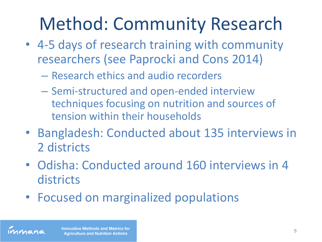## Method: Community Research

- 4-5 days of research training with community researchers (see Paprocki and Cons 2014)
	- Research ethics and audio recorders
	- Semi-structured and open-ended interview techniques focusing on nutrition and sources of tension within their households
- Bangladesh: Conducted about 135 interviews in 2 districts
- Odisha: Conducted around 160 interviews in 4 **districts**
- Focused on marginalized populations

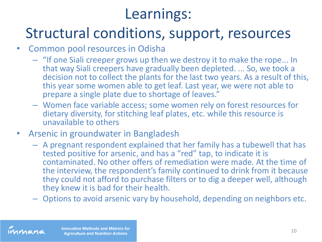#### Learnings:

#### Structural conditions, support, resources

- Common pool resources in Odisha
	- "If one Siali creeper grows up then we destroy it to make the rope... In that way Siali creepers have gradually been depleted. ... So, we took a decision not to collect the plants for the last two years. As a result of this, this year some women able to get leaf. Last year, we were not able to prepare a single plate due to shortage of leaves."
	- Women face variable access; some women rely on forest resources for dietary diversity, for stitching leaf plates, etc. while this resource is unavailable to others
- Arsenic in groundwater in Bangladesh
	- A pregnant respondent explained that her family has a tubewell that has tested positive for arsenic, and has a "red" tap, to indicate it is contaminated. No other offers of remediation were made. At the time of the interview, the respondent's family continued to drink from it because they could not afford to purchase filters or to dig a deeper well, although they knew it is bad for their health.
	- Options to avoid arsenic vary by household, depending on neighbors etc.

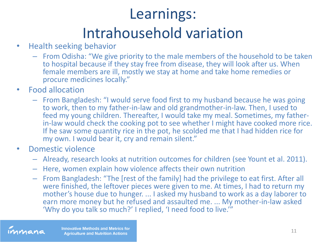## Learnings: Intrahousehold variation

- Health seeking behavior
	- From Odisha: "We give priority to the male members of the household to be taken to hospital because if they stay free from disease, they will look after us. When female members are ill, mostly we stay at home and take home remedies or procure medicines locally."
- Food allocation
	- From Bangladesh: "I would serve food first to my husband because he was going to work, then to my father-in-law and old grandmother-in-law. Then, I used to feed my young children. Thereafter, I would take my meal. Sometimes, my fatherin-law would check the cooking pot to see whether I might have cooked more rice. If he saw some quantity rice in the pot, he scolded me that I had hidden rice for my own. I would bear it, cry and remain silent."
- Domestic violence
	- Already, research looks at nutrition outcomes for children (see Yount et al. 2011).
	- Here, women explain how violence affects their own nutrition
	- From Bangladesh: "The [rest of the family] had the privilege to eat first. After all were finished, the leftover pieces were given to me. At times, I had to return my mother's house due to hunger. ... I asked my husband to work as a day laborer to earn more money but he refused and assaulted me. ... My mother-in-law asked 'Why do you talk so much?' I replied, 'I need food to live.'"

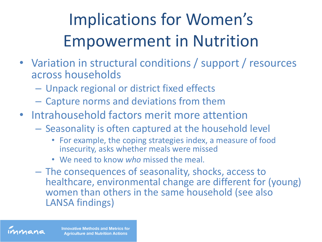## Implications for Women's Empowerment in Nutrition

- Variation in structural conditions / support / resources across households
	- Unpack regional or district fixed effects
	- Capture norms and deviations from them
- Intrahousehold factors merit more attention
	- Seasonality is often captured at the household level
		- For example, the coping strategies index, a measure of food insecurity, asks whether meals were missed
		- We need to know *who* missed the meal.
	- The consequences of seasonality, shocks, access to healthcare, environmental change are different for (young) women than others in the same household (see also LANSA findings)



**Innovative Methods and Metrics for Agriculture and Nutrition Actions**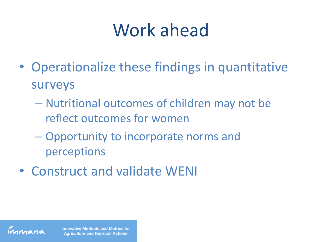## Work ahead

- Operationalize these findings in quantitative surveys
	- Nutritional outcomes of children may not be reflect outcomes for women
	- Opportunity to incorporate norms and perceptions
- Construct and validate WENI

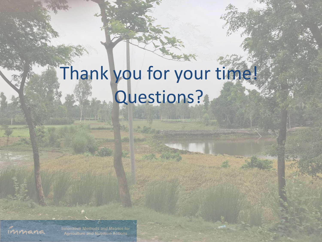# Thank you for your time! Questions?

**AND AND REAL PROPERTY** 



**Innovative Methods and Metrics for Agriculture and Nutrition Actions**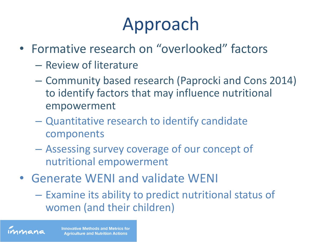## Approach

- Formative research on "overlooked" factors
	- Review of literature
	- Community based research (Paprocki and Cons 2014) to identify factors that may influence nutritional empowerment
	- Quantitative research to identify candidate components
	- Assessing survey coverage of our concept of nutritional empowerment
- Generate WENI and validate WENI
	- Examine its ability to predict nutritional status of women (and their children)

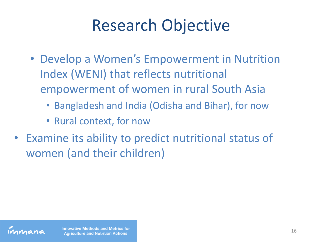## Research Objective

- Develop a Women's Empowerment in Nutrition Index (WENI) that reflects nutritional empowerment of women in rural South Asia
	- Bangladesh and India (Odisha and Bihar), for now
	- Rural context, for now
- Examine its ability to predict nutritional status of women (and their children)